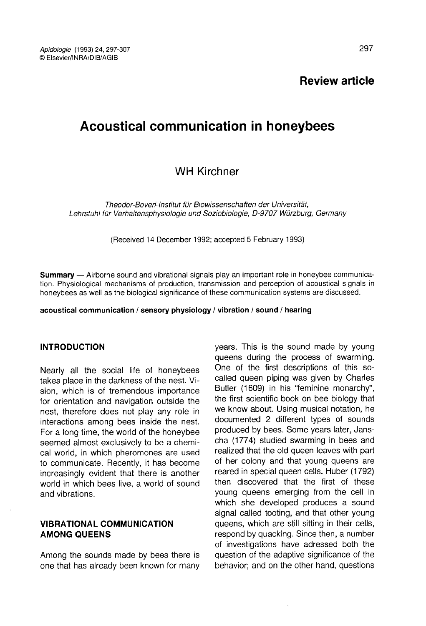Review article

# Acoustical communication in honeybees

# WH Kirchner

Theodor-Boveri-Institut für Biowissenschaften der Universität, Lehrstuhl für Verhaltensphysiologie und Soziobiologie, D-9707 Würzburg, Germany

(Received 14 December 1992; accepted 5 February 1993)

Summary - Airborne sound and vibrational signals play an important role in honeybee communication. Physiological mechanisms of production, transmission and perception of acoustical signals in honeybees as well as the biological significance of these communication systems are discussed.

#### acoustical communication / sensory physiology / vibration / sound / hearing

#### INTRODUCTION

Nearly all the social life of honeybees takes place in the darkness of the nest. Vision, which is of tremendous importance for orientation and navigation outside the nest, therefore does not play any role in interactions among bees inside the nest. For a long time, the world of the honeybee seemed almost exclusively to be a chemical world, in which pheromones are used to communicate. Recently, it has become increasingly evident that there is another world in which bees live, a world of sound and vibrations.

# VIBRATIONAL COMMUNICATION AMONG QUEENS

Among the sounds made by bees there is one that has already been known for many years. This is the sound made by young queens during the process of swarming. One of the first descriptions of this socalled queen piping was given by Charles Butler (1609) in his "feminine monarchy", the first scientific book on bee biology that we know about. Using musical notation, he documented 2 different types of sounds produced by bees. Some years later, Janscha (1774) studied swarming in bees and realized that the old queen leaves with part of her colony and that young queens are reared in special queen cells. Huber (1792) then discovered that the first of these young queens emerging from the cell in which she developed produces a sound signal called tooting, and that other young queens, which are still sitting in their cells, respond by quacking. Since then, a number of investigations have adressed both the question of the adaptive significance of the behavior; and on the other hand, questions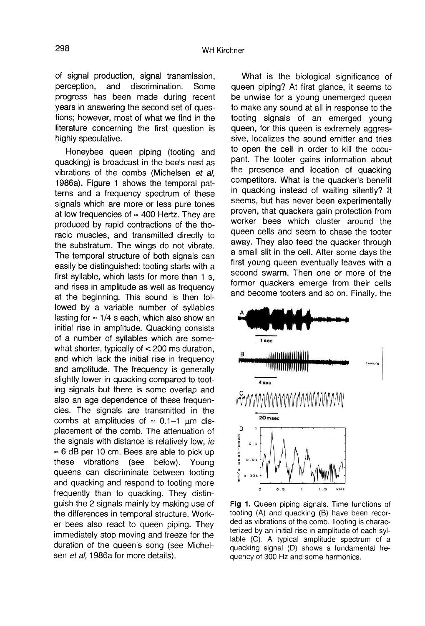of signal production, signal transmission,<br>perception, and discrimination. Some discrimination. progress has been made during recent years in answering the second set of questions; however, most of what we find in the literature concerning the first question is highly speculative.

Honeybee queen piping (tooting and quacking) is broadcast in the bee's nest as vibrations of the combs (Michelsen et al, 1986a). Figure 1 shows the temporal patterns and a frequency spectrum of these signals which are more or less pure tones at low frequencies of  $\approx$  400 Hertz. They are produced by rapid contractions of the thoracic muscles, and transmitted directly to the substratum. The wings do not vibrate. The temporal structure of both signals can easily be distinguished: tooting starts with a first syllable, which lasts for more than 1 s, and rises in amplitude as well as frequency at the beginning. This sound is then followed by a variable number of syllables lasting for ≈ 1/4 s each, which also show an initial rise in amplitude. Quacking consists of a number of syllables which are somewhat shorter, typically of < 200 ms duration, and which lack the initial rise in frequency and amplitude. The frequency is generally slightly lower in quacking compared to tooting signals but there is some overlap and also an age dependence of these frequencies. The signals are transmitted in the combs at amplitudes of  $\approx$  0.1-1  $\mu$ m displacement of the comb. The attenuation of the signals with distance is relatively low, ie  $\approx$  6 dB per 10 cm. Bees are able to pick up these vibrations (see below). Young queens can discriminate between tooting and quacking and respond to tooting more frequently than to quacking. They distinguish the 2 signals mainly by making use of the differences in temporal structure. Worker bees also react to queen piping. They immediately stop moving and freeze for the duration of the queen's song (see Michelsen et al, 1986a for more details).

What is the biological significance of queen piping? At first glance, it seems to be unwise for a young unemerged queen to make any sound at all in response to the tooting signals of an emerged young queen, for this queen is extremely aggressive, localizes the sound emitter and tries to open the cell in order to kill the occupant. The tooter gains information about the presence and location of quacking competitors. What is the quacker's benefit in quacking instead of waiting silently? It seems, but has never been experimentally proven, that quackers gain protection from worker bees which cluster around the queen cells and seem to chase the tooter away. They also feed the quacker through a small slit in the cell. After some days the first young queen eventually leaves with a second swarm. Then one or more of the former quackers emerge from their cells and become tooters and so on. Finally, the



Fig 1. Queen piping signals. Time functions of tooting (A) and quacking (B) have been recorded as vibrations of the comb. Tooting is characterized by an initial rise in amplitude of each syllable (C). A typical amplitude spectrum of a quacking signal (D) shows a fundamental frequency of 300 Hz and some harmonics.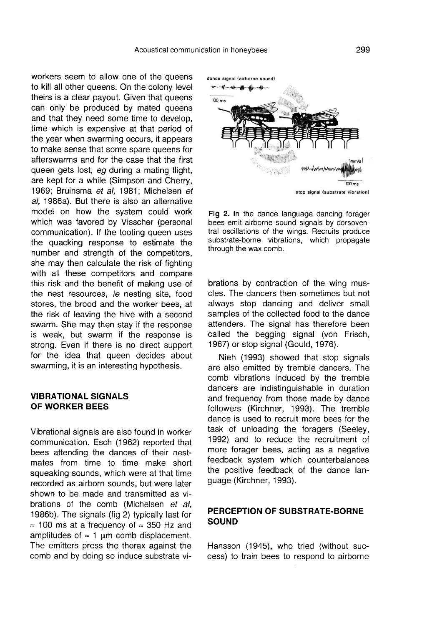workers seem to allow one of the queens to kill all other queens. On the colony level theirs is a clear payout. Given that queens can only be produced by mated queens and that they need some time to develop, time which is expensive at that period of the year when swarming occurs, it appears to make sense that some spare queens for afterswarms and for the case that the first queen gets lost, eg during a mating flight, are kept for a while (Simpson and Cherry, 1969; Bruinsma et al, 1981; Michelsen et al, 1986a). But there is also an alternative model on how the system could work which was favored by Visscher (personal communication). If the tooting queen uses the quacking response to estimate the number and strength of the competitors, she may then calculate the risk of fighting with all these competitors and compare this risk and the benefit of making use of the nest resources, ie nesting site, food stores, the brood and the worker bees, at the risk of leaving the hive with a second swarm. She may then stay if the response is weak, but swarm if the response is strong. Even if there is no direct support for the idea that queen decides about swarming, it is an interesting hypothesis.

#### VIBRATIONAL SIGNALS OF WORKER BEES

Vibrational signals are also found in worker communication. Esch (1962) reported that bees attending the dances of their nestmates from time to time make short squeaking sounds, which were at that time recorded as airborn sounds, but were later shown to be made and transmitted as vibrations of the comb (Michelsen et al, 1986b). The signals (fig 2) typically last for = 100 ms at a frequency of ≈ 350 Hz and amplitudes of  $\approx$  1 µm comb displacement. The emitters press the thorax against the comb and by doing so induce substrate vi-



Fig 2. In the dance language dancing forager bees emit airborne sound signals by dorsoventral oscillations of the wings. Recruits produce substrate-borne vibrations, which propagate through the wax comb.

brations by contraction of the wing muscles. The dancers then sometimes but not always stop dancing and deliver small samples of the collected food to the dance attenders. The signal has therefore been called the begging signal (von Frisch, 1967) or stop signal (Gould, 1976).

Nieh (1993) showed that stop signals are also emitted by tremble dancers. The comb vibrations induced by the tremble dancers are indistinguishable in duration and frequency from those made by dance followers (Kirchner, 1993). The tremble dance is used to recruit more bees for the task of unloading the foragers (Seeley, 1992) and to reduce the recruitment of more forager bees, acting as a negative feedback system which counterbalances the positive feedback of the dance language (Kirchner, 1993).

## PERCEPTION OF SUBSTRATE-BORNE SOUND

Hansson (1945), who tried (without success) to train bees to respond to airborne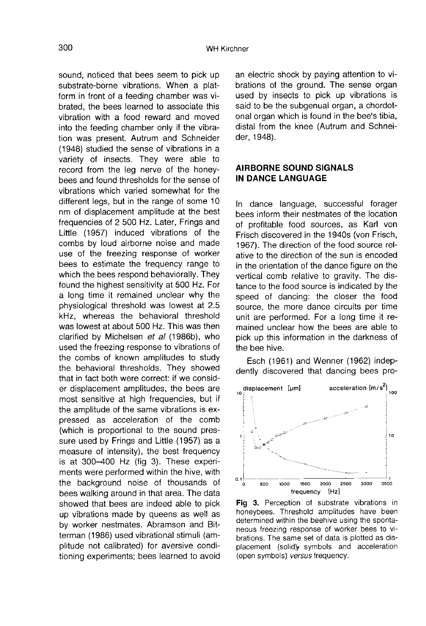sound, noticed that bees seem to pick up substrate-borne vibrations. When a platform in front of a feeding chamber was vibrated, the bees learned to associate this vibration with a food reward and moved into the feeding chamber only if the vibration was present. Autrum and Schneider (1948) studied the sense of vibrations in a variety of insects. They were able to record from the leg nerve of the honeybees and found thresholds for the sense of vibrations which varied somewhat for the different legs, but in the range of some 10 nm of displacement amplitude at the best frequencies of 2 500 Hz. Later, Frings and Little (1957) induced vibrations of the combs by loud airborne noise and made use of the freezing response of worker bees to estimate the frequency range to which the bees respond behaviorally. They found the highest sensitivity at 500 Hz. For a long time it remained unclear why the physiological threshold was lowest at 2.5 kHz, whereas the behavioral threshold was lowest at about 500 Hz. This was then clarified by Michelsen et al (1986b), who used the freezing response to vibrations of the combs of known amplitudes to study the behavioral thresholds. They showed that in fact both were correct: if we consider displacement amplitudes, the bees are most sensitive at high frequencies, but if the amplitude of the same vibrations is expressed as acceleration of the comb (which is proportional to the sound pressure used by Frings and Little (1957) as a measure of intensity), the best frequency is at 300-400 Hz (fig 3). These experiments were performed within the hive, with the background noise of thousands of bees walking around in that area. The data showed that bees are indeed able to pick up vibrations made by queens as well as by worker nestmates. Abramson and Bitterman (1986) used vibrational stimuli (amplitude not calibrated) for aversive conditioning experiments; bees learned to avoid an electric shock by paying attention to vibrations of the ground. The sense organ used by insects to pick up vibrations is said to be the subgenual organ, a chordotonal organ which is found in the bee's tibia, distal from the knee (Autrum and Schneider, 1948).

#### AIRBORNE SOUND SIGNALS IN DANCE LANGUAGE

In dance language, successful forager bees inform their nestmates of the location of profitable food sources, as Karl von Frisch discovered in the 1940s (von Frisch, 1967). The direction of the food source relative to the direction of the sun is encoded in the orientation of the dance figure on the vertical comb relative to gravity. The distance to the food source is indicated by the speed of dancing: the closer the food source, the more dance circuits per time unit are performed. For a long time it remained unclear how the bees are able to pick up this information in the darkness of the bee hive.

Esch (1961) and Wenner (1962) indepdently discovered that dancing bees pro-



Fig 3. Perception of substrate vibrations in honeybees. Threshold amplitudes have been determined within the beehive using the spontaneous freezing response of worker bees to vibrations. The same set of data is plotted as displacement (solid) symbols and acceleration (open symbols) versus frequency.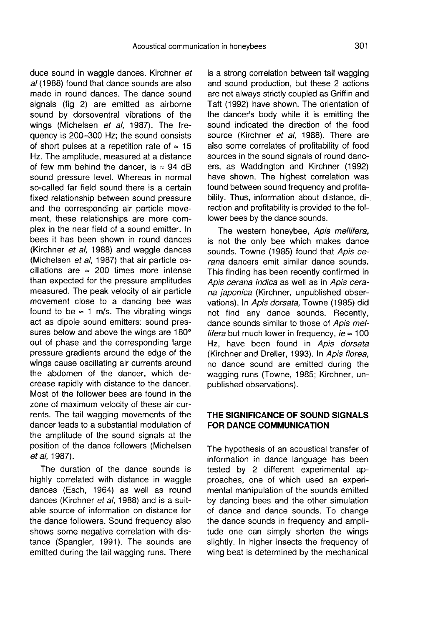duce sound in waggle dances. Kirchner et al (1988) found that dance sounds are also made in round dances. The dance sound signals (fig 2) are emitted as airborne sound by dorsoventral vibrations of the wings (Michelsen et al, 1987). The frequency is 200-300 Hz; the sound consists of short pulses at a repetition rate of  $\approx 15$ Hz. The amplitude, measured at a distance of few mm behind the dancer, is  $\approx 94$  dB sound pressure level. Whereas in normal so-called far field sound there is a certain fixed relationship between sound pressure and the corresponding air particle movement, these relationships are more complex in the near field of a sound emitter. In bees it has been shown in round dances (Kirchner et al, 1988) and waggle dances (Michelsen et al, 1987) that air particle oscillations are  $\approx 200$  times more intense than expected for the pressure amplitudes measured. The peak velocity of air particle movement close to a dancing bee was found to be  $\approx$  1 m/s. The vibrating wings act as dipole sound emitters: sound pressures below and above the wings are 180° out of phase and the corresponding large pressure gradients around the edge of the wings cause oscillating air currents around the abdomen of the dancer, which decrease rapidly with distance to the dancer. Most of the follower bees are found in the zone of maximum velocity of these air currents. The tail wagging movements of the dancer leads to a substantial modulation of the amplitude of the sound signals at the position of the dance followers (Michelsen et al, 1987).

The duration of the dance sounds is highly correlated with distance in waggle dances (Esch, 1964) as well as round dances (Kirchner et al, 1988) and is a suitable source of information on distance for the dance followers. Sound frequency also shows some negative correlation with distance (Spangler, 1991). The sounds are emitted during the tail wagging runs. There is a strong correlation between tail wagging and sound production, but these 2 actions are not always strictly coupled as Griffin and Taft (1992) have shown. The orientation of the dancer's body while it is emitting the sound indicated the direction of the food source (Kirchner et al. 1988). There are also some correlates of profitability of food sources in the sound signals of round dancers, as Waddington and Kirchner (1992) have shown. The highest correlation was found between sound frequency and profitability. Thus, information about distance, direction and profitability is provided to the follower bees by the dance sounds.

The western honeybee, Apis mellifera, is not the only bee which makes dance sounds. Towne (1985) found that Apis cerana dancers emit similar dance sounds. This finding has been recently confirmed in Apis cerana indica as well as in Apis cerana japonica (Kirchner, unpublished observations). In Apis dorsata, Towne (1985) did not find any dance sounds. Recently, dance sounds similar to those of Apis mel*lifera* but much lower in frequency,  $ie \approx 100$ Hz, have been found in Apis dorsata (Kirchner and Dreller, 1993). In Apis florea, no dance sound are emitted during the wagging runs (Towne, 1985; Kirchner, unpublished observations).

#### THE SIGNIFICANCE OF SOUND SIGNALS FOR DANCE COMMUNICATION

The hypothesis of an acoustical transfer of information in dance language has been tested by 2 different experimental approaches, one of which used an experimental manipulation of the sounds emitted by dancing bees and the other simulation of dance and dance sounds. To change the dance sounds in frequency and amplitude one can simply shorten the wings slightly. In higher insects the frequency of wing beat is determined by the mechanical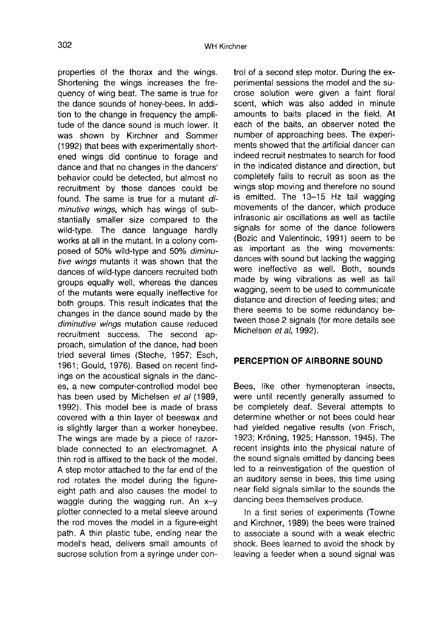properties of the thorax and the wings. Shortening the wings increases the frequency of wing beat. The same is true for the dance sounds of honey-bees. In addition to the change in frequency the amplitude of the dance sound is much lower. It was shown by Kirchner and Sommer (1992) that bees with experimentally shortened wings did continue to forage and dance and that no changes in the dancers' behavior could be detected, but almost no recruitment by those dances could be found. The same is true for a mutant diminutive wings, which has wings of substantially smaller size compared to the wild-type. The dance language hardly works at all in the mutant. In a colony composed of 50% wild-type and 50% diminutive wings mutants it was shown that the dances of wild-type dancers recruited both groups equally well, whereas the dances of the mutants were equally ineffective for both groups. This result indicates that the changes in the dance sound made by the diminutive wings mutation cause reduced recruitment success. The second approach, simulation of the dance, had been tried several times (Steche, 1957; Esch, 1961; Gould, 1976). Based on recent findings on the acoustical signals in the dances, a new computer-controlled model bee has been used by Michelsen et al (1989, 1992). This model bee is made of brass covered with a thin layer of beeswax and is slightly larger than a worker honeybee. The wings are made by a piece of razorblade connected to an electromagnet. A thin rod is affixed to the back of the model. A step motor attached to the far end of the rod rotates the model during the figureeight path and also causes the model to waggle during the wagging run. An  $x-y$ plotter connected to a metal sleeve around the rod moves the model in a figure-eight path. A thin plastic tube, ending near the model's head, delivers small amounts of sucrose solution from a syringe under control of a second step motor. During the experimental sessions the model and the sucrose solution were given a faint floral scent, which was also added in minute amounts to baits placed in the field. At each of the baits, an observer noted the number of approaching bees. The experiments showed that the artificial dancer can indeed recruit nestmates to search for food in the indicated distance and direction, but completely fails to recruit as soon as the wings stop moving and therefore no sound is emitted. The 13-15 Hz tail wagging movements of the dancer, which produce infrasonic air oscillations as well as tactile signals for some of the dance followers (Bozic and Valentincic, 1991) seem to be as important as the wing movements: dances with sound but lacking the wagging were ineffective as well. Both, sounds made by wing vibrations as well as tail wagging, seem to be used to communicate distance and direction of feeding sites; and there seems to be some redundancy between those 2 signals (for more details see Michelsen et al. 1992).

# PERCEPTION OF AIRBORNE SOUND

Bees, like other hymenopteran insects, were until recently generally assumed to be completely deaf. Several attempts to determine whether or not bees could hear had yielded negative results (von Frisch, 1923; Kröning, 1925; Hansson, 1945). The recent insights into the physical nature of the sound signals emitted by dancing bees led to a reinvestigation of the question of an auditory sense in bees, this time using near field signals similar to the sounds the dancing bees themselves produce.

In a first series of experiments (Towne and Kirchner, 1989) the bees were trained to associate a sound with a weak electric shock. Bees learned to avoid the shock by leaving a feeder when a sound signal was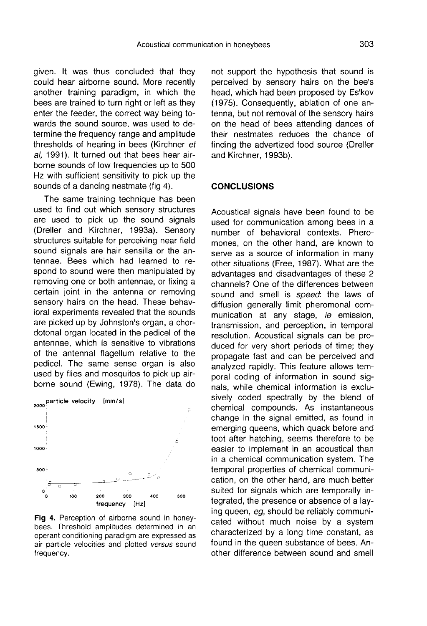given. It was thus concluded that they could hear airborne sound. More recently another training paradigm, in which the bees are trained to turn right or left as they enter the feeder, the correct way being towards the sound source, was used to determine the frequency range and amplitude thresholds of hearing in bees (Kirchner et al, 1991). It turned out that bees hear airborne sounds of low frequencies up to 500 Hz with sufficient sensitivity to pick up the sounds of a dancing nestmate (fig 4).

The same training technique has been used to find out which sensory structures are used to pick up the sound signals (Dreller and Kirchner, 1993a). Sensory structures suitable for perceiving near field sound signals are hair sensilla or the antennae. Bees which had learned to respond to sound were then manipulated by removing one or both antennae, or fixing a certain joint in the antenna or removing sensory hairs on the head. These behavioral experiments revealed that the sounds are picked up by Johnston's organ, a chordotonal organ located in the pedicel of the antennae, which is sensitive to vibrations of the antennal flagellum relative to the pedicel. The same sense organ is also used by flies and mosquitos to pick up airborne sound (Ewing, 1978). The data do



Fig 4. Perception of airborne sound in honeybees. Threshold amplitudes determined in an operant conditioning paradigm are expressed as air particle velocities and plotted versus sound frequency.

not support the hypothesis that sound is perceived by sensory hairs on the bee's head, which had been proposed by Es'kov (1975). Consequently, ablation of one antenna, but not removal of the sensory hairs on the head of bees attending dances of their nestmates reduces the chance of finding the advertized food source (Dreller and Kirchner, 1993b).

#### **CONCLUSIONS**

Acoustical signals have been found to be used for communication among bees in a number of behavioral contexts. Pheromones, on the other hand, are known to serve as a source of information in many other situations (Free, 1987). What are the advantages and disadvantages of these 2 channels? One of the differences between sound and smell is *speed*: the laws of diffusion generally limit pheromonal communication at any stage, ie emission, transmission, and perception, in temporal resolution. Acoustical signals can be produced for very short periods of time; they propagate fast and can be perceived and analyzed rapidly. This feature allows temporal coding of information in sound signals, while chemical information is exclusively coded spectrally by the blend of chemical compounds. As instantaneous change in the signal emitted, as found in emerging queens, which quack before and toot after hatching, seems therefore to be easier to implement in an acoustical than in a chemical communication system. The temporal properties of chemical communication, on the other hand, are much better suited for signals which are temporally integrated, the presence or absence of a laying queen, eg, should be reliably communicated without much noise by a system characterized by a long time constant, as found in the queen substance of bees. Another difference between sound and smell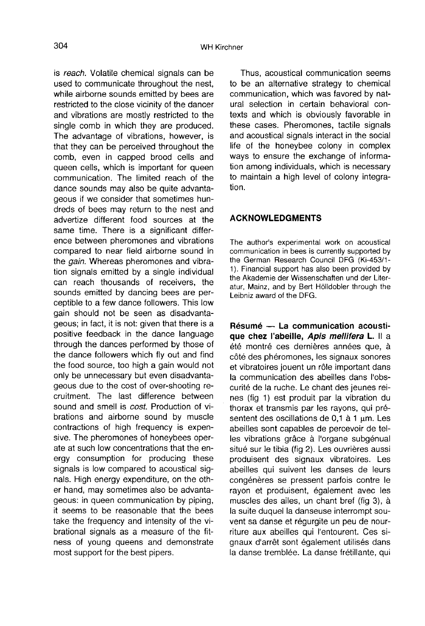304

is reach. Volatile chemical signals can be used to communicate throughout the nest, while airborne sounds emitted by bees are restricted to the close vicinity of the dancer and vibrations are mostly restricted to the single comb in which they are produced. The advantage of vibrations, however, is that they can be perceived throughout the comb, even in capped brood cells and queen cells, which is important for queen communication. The limited reach of the dance sounds may also be quite advantageous if we consider that sometimes hundreds of bees may return to the nest and advertize different food sources at the same time. There is a significant difference between pheromones and vibrations compared to near field airborne sound in the *gain*. Whereas pheromones and vibration signals emitted by a single individual can reach thousands of receivers, the sounds emitted by dancing bees are perceptible to a few dance followers. This low gain should not be seen as disadvantageous; in fact, it is not: given that there is a positive feedback in the dance language through the dances performed by those of the dance followers which fly out and find the food source, too high a gain would not only be unnecessary but even disadvantageous due to the cost of over-shooting recruitment. The last difference between sound and smell is cost. Production of vibrations and airborne sound by muscle contractions of high frequency is expensive. The pheromones of honeybees operate at such low concentrations that the energy consumption for producing these signals is low compared to acoustical signals. High energy expenditure, on the other hand, may sometimes also be advantageous: in queen communication by piping, it seems to be reasonable that the bees take the frequency and intensity of the vibrational signals as a measure of the fitness of young queens and demonstrate most support for the best pipers.

Thus, acoustical communication seems to be an alternative strategy to chemical communication, which was favored by natural selection in certain behavioral contexts and which is obviously favorable in these cases. Pheromones, tactile signals and acoustical signals interact in the social life of the honeybee colony in complex ways to ensure the exchange of information among individuals, which is necessary to maintain a high level of colony integration.

#### ACKNOWLEDGMENTS

The author's experimental work on acoustical communication in bees is currently supported by the German Research Council DFG (Ki-453/1- 1). Financial support has also been provided by the Akademie der Wissenschaften und der Literatur, Mainz, and by Bert Hölldobler through the Leibniz award of the DFG.

Résumé — La communication acoustique chez l'abeille, Apis mellifera L. Il a été montré ces dernières années que, à côté des phéromones, les signaux sonores et vibratoires jouent un rôle important dans la communication des abeilles dans l'obscurité de la ruche. Le chant des jeunes reines (fig 1) est produit par la vibration du thorax et transmis par les rayons, qui présentent des oscillations de 0,1 à 1 μm. Les abeilles sont capables de percevoir de telles vibrations grâce à l'organe subgénual situé sur le tibia (fig 2). Les ouvrières aussi produisent des signaux vibratoires. Les abeilles qui suivent les danses de leurs congénères se pressent parfois contre le rayon et produisent, également avec les muscles des ailes, un chant bref (fig 3), à la suite duquel la danseuse interrompt souvent sa danse et régurgite un peu de nourriture aux abeilles qui l'entourent. Ces signaux d'arrêt sont également utilisés dans la danse tremblée. La danse frétillante, qui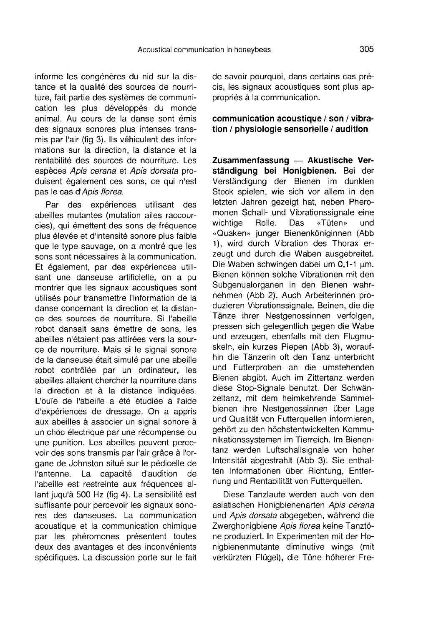informe les congénères du nid sur la distance et la qualité des sources de nourriture, fait partie des systèmes de communication les plus développés du monde animal. Au cours de la danse sont émis des signaux sonores plus intenses transmis par l'air (fig 3). Ils véhiculent des informations sur la direction, la distance et la rentabilité des sources de nourriture. Les espèces Apis cerana et Apis dorsata produisent également ces sons, ce qui n'est pas le cas d'Apis florea.

Par des expériences utilisant des abeilles mutantes (mutation ailes raccourcies), qui émettent des sons de fréquence plus élevée et d'intensité sonore plus faible que le type sauvage, on a montré que les sons sont nécessaires à la communication. Et également, par des expériences utilisant une danseuse artificielle, on a pu montrer que les signaux acoustiques sont utilisés pour transmettre l'information de la danse concernant la direction et la distance des sources de nourriture. Si l'abeille robot dansait sans émettre de sons, les abeilles n'étaient pas attirées vers la source de nourriture. Mais si le signal sonore de la danseuse était simulé par une abeille robot contrôlée par un ordinateur, les abeilles allaient chercher la nourriture dans la direction et à la distance indiquées. L'ouïe de l'abeille a été étudiée à l'aide d'expériences de dressage. On a appris aux abeilles à associer un signal sonore à un choc électrique par une récompense ou une punition. Les abeilles peuvent percevoir des sons transmis par l'air grâce à l'organe de Johnston situé sur le pédicelle de<br>l'antenne. La capacité d'audition de d'audition l'abeille est restreinte aux fréquences allant juqu'à 500 Hz (fig 4). La sensibilité est suffisante pour percevoir les signaux sonores des danseuses. La communication acoustique et la communication chimique par les phéromones présentent toutes deux des avantages et des inconvénients spécifiques. La discussion porte sur le fait de savoir pourquoi, dans certains cas précis, les signaux acoustiques sont plus appropriés à la communication.

communication acoustique / son / vibration / physiologie sensorielle / audition

Zusammenfassung — Akustische Verständigung bei Honigbienen. Bei der Verständigung der Bienen im dunklen Stock spielen, wie sich vor allem in den letzten Jahren gezeigt hat, neben Pheromonen Schall- und Vibrationssignale eine<br>wichtige Rolle. Das «Tüten» und «Tüten» «Quaken» junger Bienenköniginnen (Abb 1), wird durch Vibration des Thorax erzeugt und durch die Waben ausgebreitet. Die Waben schwingen dabei um 0,1-1 μm. Bienen können solche Vibrationen mit den Subgenualorganen in den Bienen wahrnehmen (Abb 2). Auch Arbeiterinnen produzieren Vibrationssignale. Beinen, die die Tänze ihrer Nestgenossinnen verfolgen, pressen sich gelegentlich gegen die Wabe und erzeugen, ebenfalls mit den Flugmuskeln, ein kurzes Piepen (Abb 3), woraufhin die Tänzerin oft den Tanz unterbricht und Futterproben an die umstehenden Bienen abgibt. Auch im Zittertanz werden diese Stop-Signale benutzt. Der Schwänzeltanz, mit dem heimkehrende Sammelbienen ihre Nestgenossinnen über Lage und Qualität von Futterquellen informieren, gehört zu den höchstentwickelten Kommunikationssystemen im Tierreich. Im Bienentanz werden Luftschallsignale von hoher Intensität abgestrahlt (Abb 3). Sie enthalten Informationen über Richtung, Entfernung und Rentabilität von Futterquellen.

Diese Tanzlaute werden auch von den asiatischen Honigbienenarten Apis cerana und Apis dorsata abgegeben, während die Zwerghonigbiene Apis florea keine Tanztöne produziert. In Experimenten mit der Honigbienenmutante diminutive wings (mit verkürzten Flügel), die Töne höherer Fre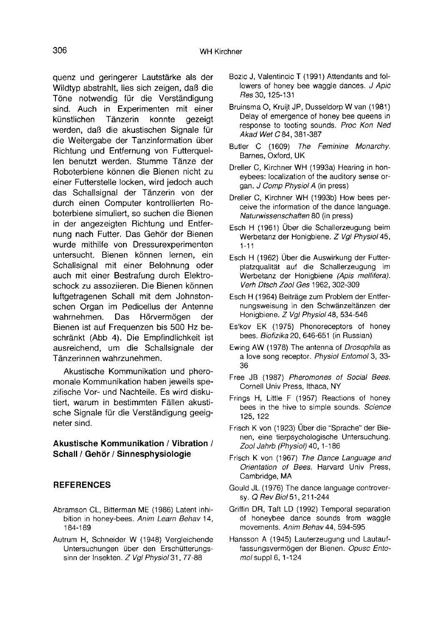quenz und geringerer Lautstärke als der Wildtyp abstrahlt, lies sich zeigen, daß die Töne notwendig für die Verständigung sind. Auch in Experimenten mit einer<br>künstlichen Tänzerin konnte gezeigt künstlichen werden, daß die akustischen Signale für die Weitergabe der Tanzinformation über Richtung und Entfernung von Futterquellen benutzt werden. Stumme Tänze der Roboterbiene können die Bienen nicht zu einer Futterstelle locken, wird jedoch auch das Schallsignal der Tänzerin von der durch einen Computer kontrollierten Roboterbiene simuliert, so suchen die Bienen in der angezeigten Richtung und Entfernung nach Futter. Das Gehör der Bienen wurde mithilfe von Dressurexperimenten untersucht. Bienen können lernen, ein Schallsignal mit einer Belohnung oder auch mit einer Bestrafung durch Elektroschock zu assoziieren. Die Bienen können luftgetragenen Schall mit dem Johnstonschen Organ im Pedicellus der Antenne<br>wahrnehmen. Das Hörvermögen der wahrnehmen. Das Bienen ist auf Frequenzen bis 500 Hz beschränkt (Abb 4). Die Empfindlichkeit ist ausreichend, um die Schallsignale der Tänzerinnen wahrzunehmen.

Akustische Kommunikation und pheromonale Kommunikation haben jeweils spezifische Vor- und Nachteile. Es wird diskutiert, warum in bestimmten Fällen akustische Signale für die Verständigung geeigneter sind.

#### Akustische Kommunikation / Vibration / Schall / Gehör / Sinnesphysiologie

# **REFERENCES**

- Abramson CL, Bitterman ME (1986) Latent inhibition in honey-bees. Anim Learn Behav 14, 184-189
- Autrum H, Schneider W (1948) Vergleichende Untersuchungen über den Erschütterungssinn der Insekten. Z Vgl Physiol 31, 77-88
- Bozic J, Valentincic T (1991) Attendants and followers of honey bee waggle dances. J Apic Res 30, 125-131
- Bruinsma O, Kruijt JP, Dusseldorp W van (1981) Delay of emergence of honey bee queens in response to tooting sounds. Proc Kon Ned Akad Wet C 84, 381-387
- Butler C (1609) The Feminine Monarchy. Barnes, Oxford, UK
- Dreller C, Kirchner WH (1993a) Hearing in honeybees: localization of the auditory sense organ. J Comp Physiol A (in press)
- Dreller C, Kirchner WH (1993b) How bees perceive the information of the dance language. Naturwissenschaften 80 (in press)
- Esch H (1961) Über die Schallerzeugung beim Werbetanz der Honigbiene. Z Vgl Physiol 45, 1-11
- Esch H (1962) Über die Auswirkung der Futterplatzqualität auf die Schallerzeugung im Werbetanz der Honigbiene (Apis mellifera). Verh Dtsch Zool Ges 1962, 302-309
- Esch H (1964) Beiträge zum Problem der Entfernungsweisung in den Schwänzeltänzen der Honigbiene. Z Vgl Physiol 48, 534-546
- Es'kov EK (1975) Phonoreceptors of honey bees. Biofizika 20, 646-651 (in Russian)
- Ewing AW (1978) The antenna of Drosophila as a love song receptor. Physiol Entomol 3, 33- 36
- Free JB (1987) Pheromones of Social Bees. Cornell Univ Press, Ithaca, NY
- Frings H, Little F (1957) Reactions of honey bees in the hive to simple sounds. Science 125, 122
- Frisch K von (1923) Über die "Sprache" der Bienen, eine tierpsychologische Untersuchung. Zool Jahrb (Physiol) 40, 1-186
- Frisch K von (1967) The Dance Language and Orientation of Bees. Harvard Univ Press, Cambridge, MA
- Gould JL (1976) The dance language controversy. Q Rev Biol 51, 211-244
- Griffin DR, Taft LD (1992) Temporal separation of honeybee dance sounds from waggle movements. Anim Behav 44, 594-595
- Hansson A (1945) Lauterzeugung und Lautauffassungsvermögen der Bienen. Opusc Entomol suppl 6, 1-124